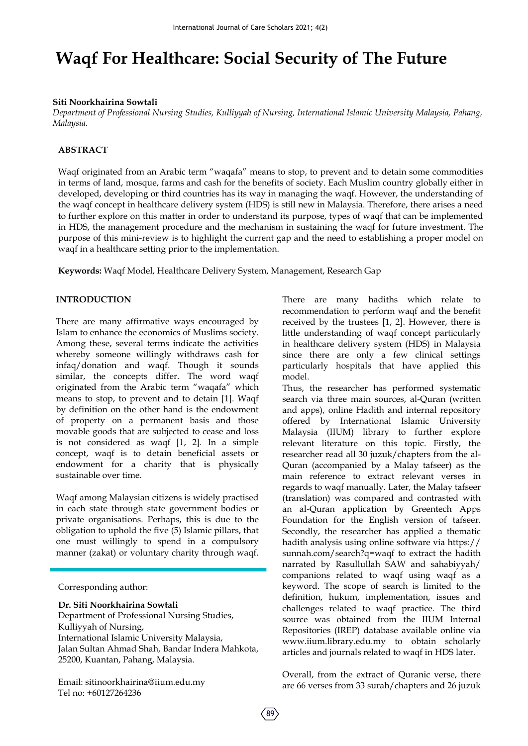# **Waqf For Healthcare: Social Security of The Future**

#### **Siti Noorkhairina Sowtali**

*Department of Professional Nursing Studies, Kulliyyah of Nursing, International Islamic University Malaysia, Pahang, Malaysia.*

# **ABSTRACT**

Waqf originated from an Arabic term "waqafa" means to stop, to prevent and to detain some commodities in terms of land, mosque, farms and cash for the benefits of society. Each Muslim country globally either in developed, developing or third countries has its way in managing the waqf. However, the understanding of the waqf concept in healthcare delivery system (HDS) is still new in Malaysia. Therefore, there arises a need to further explore on this matter in order to understand its purpose, types of waqf that can be implemented in HDS, the management procedure and the mechanism in sustaining the waqf for future investment. The purpose of this mini-review is to highlight the current gap and the need to establishing a proper model on waqf in a healthcare setting prior to the implementation.

**Keywords:** Waqf Model, Healthcare Delivery System, Management, Research Gap

# **INTRODUCTION**

There are many affirmative ways encouraged by Islam to enhance the economics of Muslims society. Among these, several terms indicate the activities whereby someone willingly withdraws cash for infaq/donation and waqf. Though it sounds similar, the concepts differ. The word waqf originated from the Arabic term "waqafa" which means to stop, to prevent and to detain [1]. Waqf by definition on the other hand is the endowment of property on a permanent basis and those movable goods that are subjected to cease and loss is not considered as waqf [1, 2]. In a simple concept, waqf is to detain beneficial assets or endowment for a charity that is physically sustainable over time.

Waqf among Malaysian citizens is widely practised in each state through state government bodies or private organisations. Perhaps, this is due to the obligation to uphold the five (5) Islamic pillars, that one must willingly to spend in a compulsory manner (zakat) or voluntary charity through waqf.

Corresponding author:

**Dr. Siti Noorkhairina Sowtali** Department of Professional Nursing Studies, Kulliyyah of Nursing, International Islamic University Malaysia, Jalan Sultan Ahmad Shah, Bandar Indera Mahkota, 25200, Kuantan, Pahang, Malaysia.

Email: sitinoorkhairina@iium.edu.my Tel no: +60127264236

There are many hadiths which relate to recommendation to perform waqf and the benefit received by the trustees [1, 2]. However, there is little understanding of waqf concept particularly in healthcare delivery system (HDS) in Malaysia since there are only a few clinical settings particularly hospitals that have applied this model.

Thus, the researcher has performed systematic search via three main sources, al-Quran (written and apps), online Hadith and internal repository offered by International Islamic University Malaysia (IIUM) library to further explore relevant literature on this topic. Firstly, the researcher read all 30 juzuk/chapters from the al-Quran (accompanied by a Malay tafseer) as the main reference to extract relevant verses in regards to waqf manually. Later, the Malay tafseer (translation) was compared and contrasted with an al-Quran application by Greentech Apps Foundation for the English version of tafseer. Secondly, the researcher has applied a thematic hadith analysis using online software via https:// sunnah.com/search?q=waqf to extract the hadith narrated by Rasullullah SAW and sahabiyyah/ companions related to waqf using waqf as a keyword. The scope of search is limited to the definition, hukum, implementation, issues and challenges related to waqf practice. The third source was obtained from the IIUM Internal Repositories (IREP) database available online via www.iium.library.edu.my to obtain scholarly articles and journals related to waqf in HDS later.

Overall, from the extract of Quranic verse, there are 66 verses from 33 surah/chapters and 26 juzuk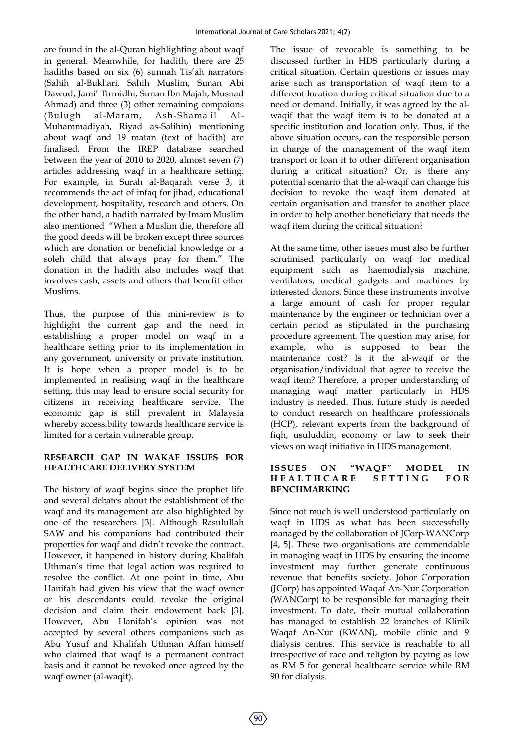are found in the al-Quran highlighting about waqf in general. Meanwhile, for hadith, there are 25 hadiths based on six (6) sunnah Tis'ah narrators (Sahih al-Bukhari, Sahih Muslim, Sunan Abi Dawud, Jami' Tirmidhi, Sunan Ibn Majah, Musnad Ahmad) and three (3) other remaining compaions (Bulugh al-Maram, Ash-Shama'il Al-Muhammadiyah, Riyad as-Salihin) mentioning about waqf and 19 matan (text of hadith) are finalised. From the IREP database searched between the year of 2010 to 2020, almost seven (7) articles addressing waqf in a healthcare setting. For example, in Surah al-Baqarah verse 3, it recommends the act of infaq for jihad, educational development, hospitality, research and others. On the other hand, a hadith narrated by Imam Muslim also mentioned "When a Muslim die, therefore all the good deeds will be broken except three sources which are donation or beneficial knowledge or a soleh child that always pray for them." The donation in the hadith also includes waqf that involves cash, assets and others that benefit other Muslims.

Thus, the purpose of this mini-review is to highlight the current gap and the need in establishing a proper model on waqf in a healthcare setting prior to its implementation in any government, university or private institution. It is hope when a proper model is to be implemented in realising waqf in the healthcare setting, this may lead to ensure social security for citizens in receiving healthcare service. The economic gap is still prevalent in Malaysia whereby accessibility towards healthcare service is limited for a certain vulnerable group.

# **RESEARCH GAP IN WAKAF ISSUES FOR HEALTHCARE DELIVERY SYSTEM**

The history of waqf begins since the prophet life and several debates about the establishment of the waqf and its management are also highlighted by one of the researchers [3]. Although Rasulullah SAW and his companions had contributed their properties for waqf and didn't revoke the contract. However, it happened in history during Khalifah Uthman's time that legal action was required to resolve the conflict. At one point in time, Abu Hanifah had given his view that the waqf owner or his descendants could revoke the original decision and claim their endowment back [3]. However, Abu Hanifah's opinion was not accepted by several others companions such as Abu Yusuf and Khalifah Uthman Affan himself who claimed that waqf is a permanent contract basis and it cannot be revoked once agreed by the waqf owner (al-waqif).

The issue of revocable is something to be discussed further in HDS particularly during a critical situation. Certain questions or issues may arise such as transportation of waqf item to a different location during critical situation due to a need or demand. Initially, it was agreed by the alwaqif that the waqf item is to be donated at a specific institution and location only. Thus, if the above situation occurs, can the responsible person in charge of the management of the waqf item transport or loan it to other different organisation during a critical situation? Or, is there any potential scenario that the al-waqif can change his decision to revoke the waqf item donated at certain organisation and transfer to another place in order to help another beneficiary that needs the waqf item during the critical situation?

At the same time, other issues must also be further scrutinised particularly on waqf for medical equipment such as haemodialysis machine, ventilators, medical gadgets and machines by interested donors. Since these instruments involve a large amount of cash for proper regular maintenance by the engineer or technician over a certain period as stipulated in the purchasing procedure agreement. The question may arise, for example, who is supposed to bear the maintenance cost? Is it the al-waqif or the organisation/individual that agree to receive the waqf item? Therefore, a proper understanding of managing waqf matter particularly in HDS industry is needed. Thus, future study is needed to conduct research on healthcare professionals (HCP), relevant experts from the background of fiqh, usuluddin, economy or law to seek their views on waqf initiative in HDS management.

# **ISSUES ON "WAQF" MODEL IN HEALTHCARE SETTING BENCHMARKING**

Since not much is well understood particularly on waqf in HDS as what has been successfully managed by the collaboration of JCorp-WANCorp [4, 5]. These two organisations are commendable in managing waqf in HDS by ensuring the income investment may further generate continuous revenue that benefits society. Johor Corporation (JCorp) has appointed Waqaf An-Nur Corporation (WANCorp) to be responsible for managing their investment. To date, their mutual collaboration has managed to establish 22 branches of Klinik Waqaf An-Nur (KWAN), mobile clinic and 9 dialysis centres. This service is reachable to all irrespective of race and religion by paying as low as RM 5 for general healthcare service while RM 90 for dialysis.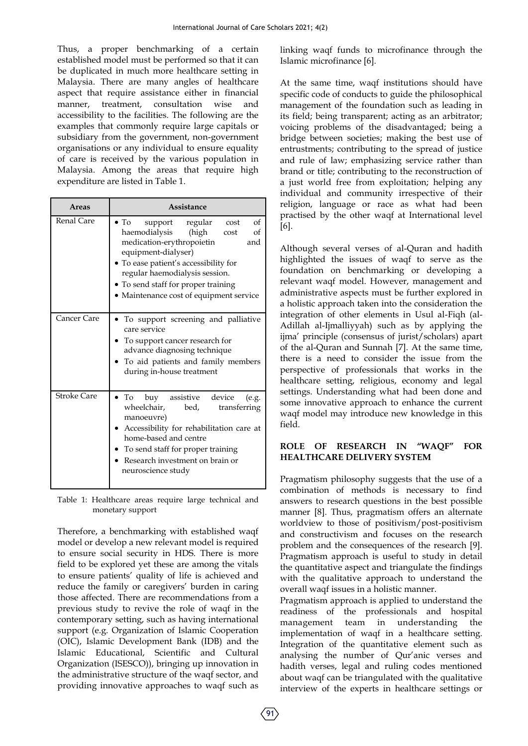Thus, a proper benchmarking of a certain established model must be performed so that it can be duplicated in much more healthcare setting in Malaysia. There are many angles of healthcare aspect that require assistance either in financial manner, treatment, consultation wise and accessibility to the facilities. The following are the examples that commonly require large capitals or subsidiary from the government, non-government organisations or any individual to ensure equality of care is received by the various population in Malaysia. Among the areas that require high expenditure are listed in Table 1.

| Areas              | Assistance                                                                                                                                                                                                                                                                                                 |
|--------------------|------------------------------------------------------------------------------------------------------------------------------------------------------------------------------------------------------------------------------------------------------------------------------------------------------------|
| Renal Care         | $\bullet$ To<br>of<br>support regular<br>cost<br>haemodialysis (high<br>of<br>cost<br>medication-erythropoietin<br>and<br>equipment-dialyser)<br>· To ease patient's accessibility for<br>regular haemodialysis session.<br>• To send staff for proper training<br>• Maintenance cost of equipment service |
| Cancer Care        | To support screening and palliative<br>care service<br>To support cancer research for<br>advance diagnosing technique<br>To aid patients and family members<br>during in-house treatment                                                                                                                   |
| <b>Stroke Care</b> | $\bullet$ To<br>buy assistive device<br>(e.g.<br>wheelchair,<br>bed,<br>transferring<br>manoeuvre)<br>Accessibility for rehabilitation care at<br>home-based and centre<br>To send staff for proper training<br>Research investment on brain or<br>neuroscience study                                      |

Table 1: Healthcare areas require large technical and monetary support

Therefore, a benchmarking with established waqf model or develop a new relevant model is required to ensure social security in HDS. There is more field to be explored yet these are among the vitals to ensure patients' quality of life is achieved and reduce the family or caregivers' burden in caring those affected. There are recommendations from a previous study to revive the role of waqf in the contemporary setting, such as having international support (e.g. Organization of Islamic Cooperation (OIC), Islamic Development Bank (IDB) and the Islamic Educational, Scientific and Cultural Organization (ISESCO)), bringing up innovation in the administrative structure of the waqf sector, and providing innovative approaches to waqf such as

linking waqf funds to microfinance through the Islamic microfinance [6].

At the same time, waqf institutions should have specific code of conducts to guide the philosophical management of the foundation such as leading in its field; being transparent; acting as an arbitrator; voicing problems of the disadvantaged; being a bridge between societies; making the best use of entrustments; contributing to the spread of justice and rule of law; emphasizing service rather than brand or title; contributing to the reconstruction of a just world free from exploitation; helping any individual and community irrespective of their religion, language or race as what had been practised by the other waqf at International level [6].

Although several verses of al-Quran and hadith highlighted the issues of waqf to serve as the foundation on benchmarking or developing a relevant waqf model. However, management and administrative aspects must be further explored in a holistic approach taken into the consideration the integration of other elements in Usul al-Fiqh (al-Adillah al-Ijmalliyyah) such as by applying the ijma' principle (consensus of jurist/scholars) apart of the al-Quran and Sunnah [7]. At the same time, there is a need to consider the issue from the perspective of professionals that works in the healthcare setting, religious, economy and legal settings. Understanding what had been done and some innovative approach to enhance the current waqf model may introduce new knowledge in this field.

# **ROLE OF RESEARCH IN "WAQF" FOR HEALTHCARE DELIVERY SYSTEM**

Pragmatism philosophy suggests that the use of a combination of methods is necessary to find answers to research questions in the best possible manner [8]. Thus, pragmatism offers an alternate worldview to those of positivism/post-positivism and constructivism and focuses on the research problem and the consequences of the research [9]. Pragmatism approach is useful to study in detail the quantitative aspect and triangulate the findings with the qualitative approach to understand the overall waqf issues in a holistic manner.

Pragmatism approach is applied to understand the readiness of the professionals and hospital management team in understanding the implementation of waqf in a healthcare setting. Integration of the quantitative element such as analysing the number of Qur'anic verses and hadith verses, legal and ruling codes mentioned about waqf can be triangulated with the qualitative interview of the experts in healthcare settings or